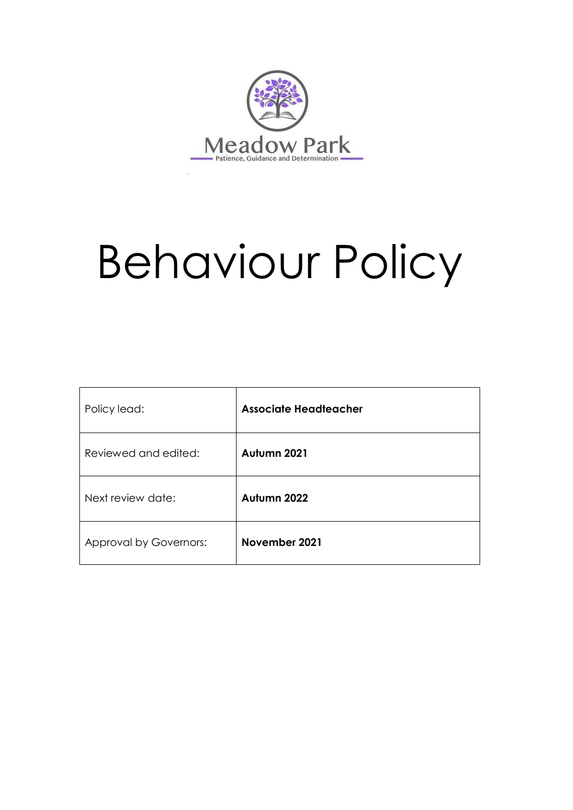

# Behaviour Policy

| Policy lead:           | <b>Associate Headteacher</b> |
|------------------------|------------------------------|
| Reviewed and edited:   | Autumn 2021                  |
| Next review date:      | Autumn 2022                  |
| Approval by Governors: | November 2021                |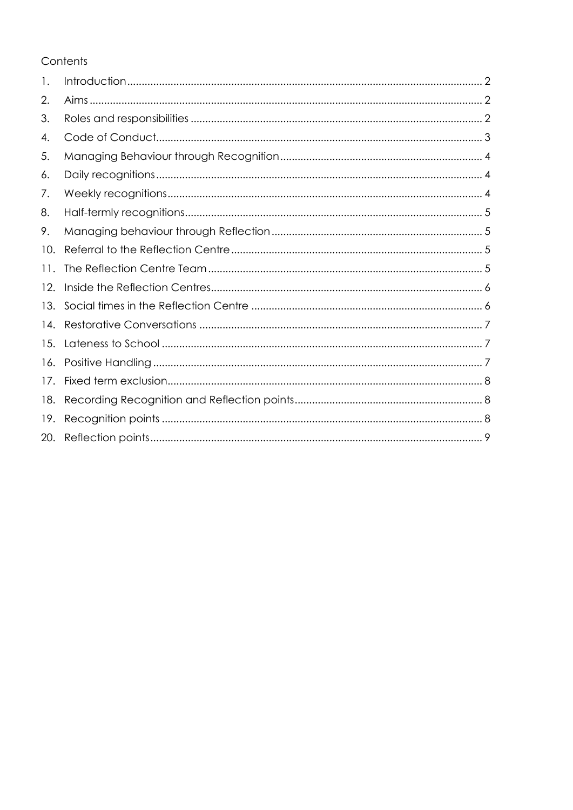# Contents

| 1.  |  |
|-----|--|
| 2.  |  |
| 3.  |  |
| 4.  |  |
| 5.  |  |
| 6.  |  |
| 7.  |  |
| 8.  |  |
| 9.  |  |
| 10. |  |
| 11. |  |
| 12. |  |
| 13. |  |
| 14. |  |
| 15. |  |
| 16. |  |
| 17. |  |
| 18. |  |
| 19. |  |
| 20. |  |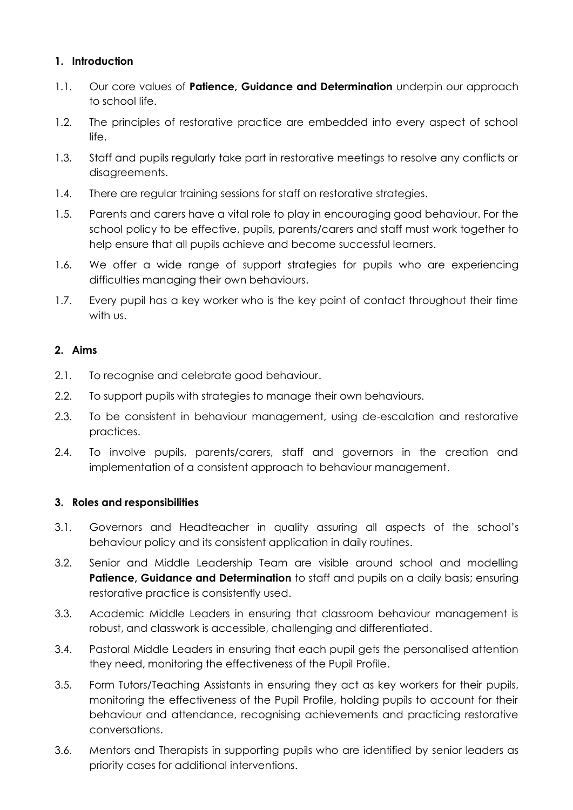# <span id="page-2-0"></span>**1. Introduction**

- 1.1. Our core values of **Patience, Guidance and Determination** underpin our approach to school life.
- 1.2. The principles of restorative practice are embedded into every aspect of school life.
- 1.3. Staff and pupils regularly take part in restorative meetings to resolve any conflicts or disagreements.
- 1.4. There are regular training sessions for staff on restorative strategies.
- 1.5. Parents and carers have a vital role to play in encouraging good behaviour. For the school policy to be effective, pupils, parents/carers and staff must work together to help ensure that all pupils achieve and become successful learners.
- 1.6. We offer a wide range of support strategies for pupils who are experiencing difficulties managing their own behaviours.
- 1.7. Every pupil has a key worker who is the key point of contact throughout their time with us.

# <span id="page-2-1"></span>**2. Aims**

- 2.1. To recognise and celebrate good behaviour.
- 2.2. To support pupils with strategies to manage their own behaviours.
- 2.3. To be consistent in behaviour management, using de-escalation and restorative practices.
- 2.4. To involve pupils, parents/carers, staff and governors in the creation and implementation of a consistent approach to behaviour management.

#### <span id="page-2-2"></span>**3. Roles and responsibilities**

- 3.1. Governors and Headteacher in quality assuring all aspects of the school's behaviour policy and its consistent application in daily routines.
- 3.2. Senior and Middle Leadership Team are visible around school and modelling **Patience, Guidance and Determination** to staff and pupils on a daily basis; ensuring restorative practice is consistently used.
- 3.3. Academic Middle Leaders in ensuring that classroom behaviour management is robust, and classwork is accessible, challenging and differentiated.
- 3.4. Pastoral Middle Leaders in ensuring that each pupil gets the personalised attention they need, monitoring the effectiveness of the Pupil Profile.
- 3.5. Form Tutors/Teaching Assistants in ensuring they act as key workers for their pupils, monitoring the effectiveness of the Pupil Profile, holding pupils to account for their behaviour and attendance, recognising achievements and practicing restorative conversations.
- 3.6. Mentors and Therapists in supporting pupils who are identified by senior leaders as priority cases for additional interventions.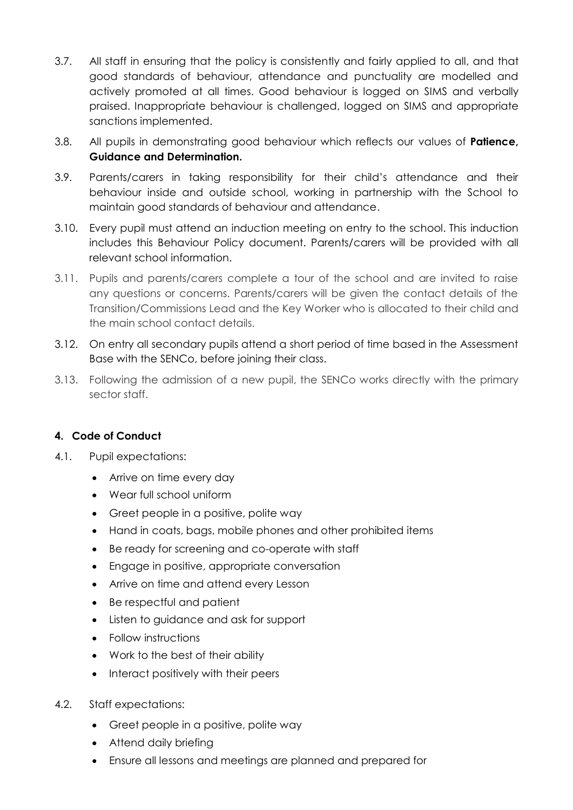- 3.7. All staff in ensuring that the policy is consistently and fairly applied to all, and that good standards of behaviour, attendance and punctuality are modelled and actively promoted at all times. Good behaviour is logged on SIMS and verbally praised. Inappropriate behaviour is challenged, logged on SIMS and appropriate sanctions implemented.
- 3.8. All pupils in demonstrating good behaviour which reflects our values of **Patience, Guidance and Determination.**
- 3.9. Parents/carers in taking responsibility for their child's attendance and their behaviour inside and outside school, working in partnership with the School to maintain good standards of behaviour and attendance.
- 3.10. Every pupil must attend an induction meeting on entry to the school. This induction includes this Behaviour Policy document. Parents/carers will be provided with all relevant school information.
- 3.11. Pupils and parents/carers complete a tour of the school and are invited to raise any questions or concerns. Parents/carers will be given the contact details of the Transition/Commissions Lead and the Key Worker who is allocated to their child and the main school contact details.
- 3.12. On entry all secondary pupils attend a short period of time based in the Assessment Base with the SENCo, before joining their class.
- 3.13. Following the admission of a new pupil, the SENCo works directly with the primary sector staff.

# <span id="page-3-0"></span>**4. Code of Conduct**

- 4.1. Pupil expectations:
	- Arrive on time every day
	- Wear full school uniform
	- Greet people in a positive, polite way
	- Hand in coats, bags, mobile phones and other prohibited items
	- Be ready for screening and co-operate with staff
	- Engage in positive, appropriate conversation
	- Arrive on time and attend every Lesson
	- Be respectful and patient
	- Listen to guidance and ask for support
	- Follow instructions
	- Work to the best of their ability
	- Interact positively with their peers
- 4.2. Staff expectations:
	- Greet people in a positive, polite way
	- Attend daily briefing
	- Ensure all lessons and meetings are planned and prepared for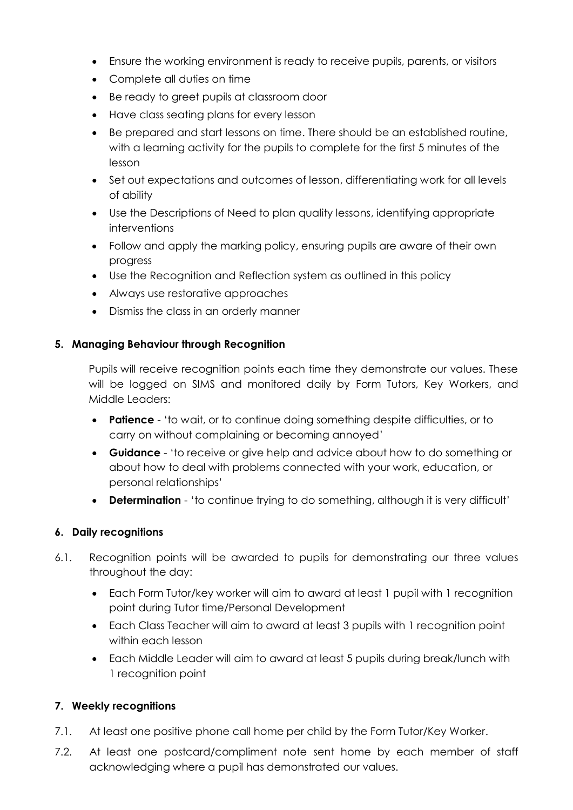- Ensure the working environment is ready to receive pupils, parents, or visitors
- Complete all duties on time
- Be ready to greet pupils at classroom door
- Have class seating plans for every lesson
- Be prepared and start lessons on time. There should be an established routine, with a learning activity for the pupils to complete for the first 5 minutes of the lesson
- Set out expectations and outcomes of lesson, differentiating work for all levels of ability
- Use the Descriptions of Need to plan quality lessons, identifying appropriate interventions
- Follow and apply the marking policy, ensuring pupils are aware of their own progress
- Use the Recognition and Reflection system as outlined in this policy
- Always use restorative approaches
- Dismiss the class in an orderly manner

#### <span id="page-4-0"></span>**5. Managing Behaviour through Recognition**

Pupils will receive recognition points each time they demonstrate our values. These will be logged on SIMS and monitored daily by Form Tutors, Key Workers, and Middle Leaders:

- **Patience** 'to wait, or to continue doing something despite difficulties, or to carry on without complaining or becoming annoyed'
- **Guidance** 'to receive or give help and advice about how to do something or about how to deal with problems connected with your work, education, or personal relationships'
- **Determination** 'to continue trying to do something, although it is very difficult'

#### <span id="page-4-1"></span>**6. Daily recognitions**

- 6.1. Recognition points will be awarded to pupils for demonstrating our three values throughout the day:
	- Each Form Tutor/key worker will aim to award at least 1 pupil with 1 recognition point during Tutor time/Personal Development
	- Each Class Teacher will aim to award at least 3 pupils with 1 recognition point within each lesson
	- Each Middle Leader will aim to award at least 5 pupils during break/lunch with 1 recognition point

#### <span id="page-4-2"></span>**7. Weekly recognitions**

- 7.1. At least one positive phone call home per child by the Form Tutor/Key Worker.
- 7.2. At least one postcard/compliment note sent home by each member of staff acknowledging where a pupil has demonstrated our values.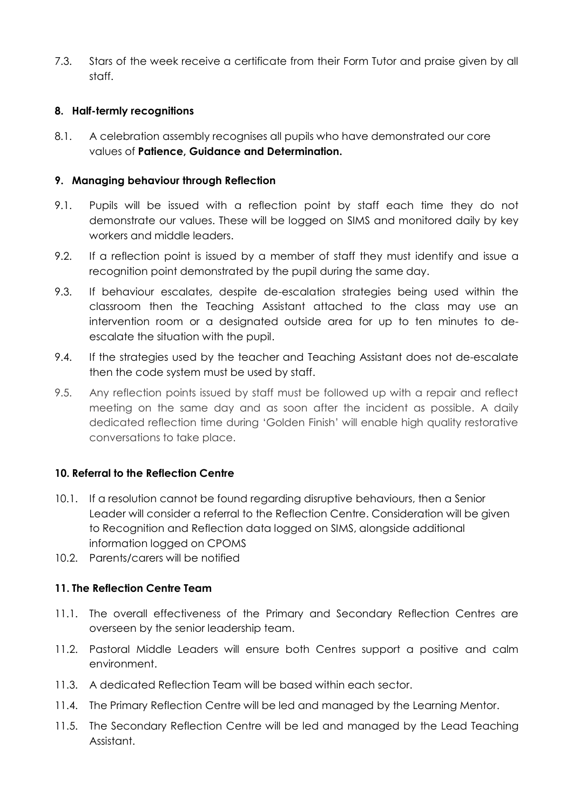7.3. Stars of the week receive a certificate from their Form Tutor and praise given by all staff.

# <span id="page-5-0"></span>**8. Half-termly recognitions**

8.1. A celebration assembly recognises all pupils who have demonstrated our core values of **Patience, Guidance and Determination.**

#### <span id="page-5-1"></span>**9. Managing behaviour through Reflection**

- 9.1. Pupils will be issued with a reflection point by staff each time they do not demonstrate our values. These will be logged on SIMS and monitored daily by key workers and middle leaders.
- 9.2. If a reflection point is issued by a member of staff they must identify and issue a recognition point demonstrated by the pupil during the same day.
- 9.3. If behaviour escalates, despite de-escalation strategies being used within the classroom then the Teaching Assistant attached to the class may use an intervention room or a designated outside area for up to ten minutes to deescalate the situation with the pupil.
- 9.4. If the strategies used by the teacher and Teaching Assistant does not de-escalate then the code system must be used by staff.
- 9.5. Any reflection points issued by staff must be followed up with a repair and reflect meeting on the same day and as soon after the incident as possible. A daily dedicated reflection time during 'Golden Finish' will enable high quality restorative conversations to take place.

#### <span id="page-5-2"></span>**10. Referral to the Reflection Centre**

- 10.1. If a resolution cannot be found regarding disruptive behaviours, then a Senior Leader will consider a referral to the Reflection Centre. Consideration will be given to Recognition and Reflection data logged on SIMS, alongside additional information logged on CPOMS
- 10.2. Parents/carers will be notified

# <span id="page-5-3"></span>**11. The Reflection Centre Team**

- 11.1. The overall effectiveness of the Primary and Secondary Reflection Centres are overseen by the senior leadership team.
- 11.2. Pastoral Middle Leaders will ensure both Centres support a positive and calm environment.
- 11.3. A dedicated Reflection Team will be based within each sector.
- 11.4. The Primary Reflection Centre will be led and managed by the Learning Mentor.
- 11.5. The Secondary Reflection Centre will be led and managed by the Lead Teaching Assistant.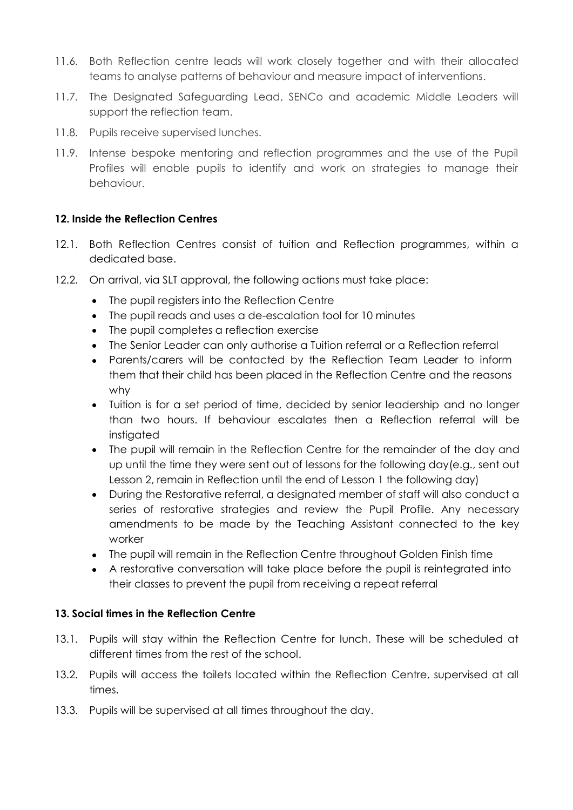- 11.6. Both Reflection centre leads will work closely together and with their allocated teams to analyse patterns of behaviour and measure impact of interventions.
- 11.7. The Designated Safeguarding Lead, SENCo and academic Middle Leaders will support the reflection team.
- 11.8. Pupils receive supervised lunches.
- 11.9. Intense bespoke mentoring and reflection programmes and the use of the Pupil Profiles will enable pupils to identify and work on strategies to manage their behaviour.

# <span id="page-6-0"></span>**12. Inside the Reflection Centres**

- 12.1. Both Reflection Centres consist of tuition and Reflection programmes, within a dedicated base.
- 12.2. On arrival, via SLT approval, the following actions must take place:
	- The pupil registers into the Reflection Centre
	- The pupil reads and uses a de-escalation tool for 10 minutes
	- The pupil completes a reflection exercise
	- The Senior Leader can only authorise a Tuition referral or a Reflection referral
	- Parents/carers will be contacted by the Reflection Team Leader to inform them that their child has been placed in the Reflection Centre and the reasons why
	- Tuition is for a set period of time, decided by senior leadership and no longer than two hours. If behaviour escalates then a Reflection referral will be instigated
	- The pupil will remain in the Reflection Centre for the remainder of the day and up until the time they were sent out of lessons for the following day(e.g., sent out Lesson 2, remain in Reflection until the end of Lesson 1 the following day)
	- During the Restorative referral, a designated member of staff will also conduct a series of restorative strategies and review the Pupil Profile. Any necessary amendments to be made by the Teaching Assistant connected to the key worker
	- The pupil will remain in the Reflection Centre throughout Golden Finish time
	- A restorative conversation will take place before the pupil is reintegrated into their classes to prevent the pupil from receiving a repeat referral

#### <span id="page-6-1"></span>**13. Social times in the Reflection Centre**

- 13.1. Pupils will stay within the Reflection Centre for lunch. These will be scheduled at different times from the rest of the school.
- 13.2. Pupils will access the toilets located within the Reflection Centre, supervised at all times.
- 13.3. Pupils will be supervised at all times throughout the day.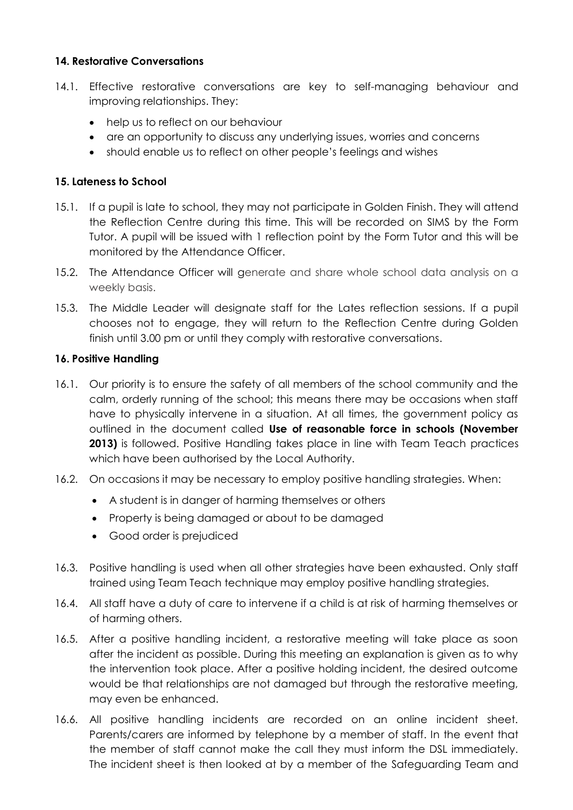### <span id="page-7-0"></span>**14. Restorative Conversations**

- 14.1. Effective restorative conversations are key to self-managing behaviour and improving relationships. They:
	- help us to reflect on our behaviour
	- are an opportunity to discuss any underlying issues, worries and concerns
	- should enable us to reflect on other people's feelings and wishes

# <span id="page-7-1"></span>**15. Lateness to School**

- 15.1. If a pupil is late to school, they may not participate in Golden Finish. They will attend the Reflection Centre during this time. This will be recorded on SIMS by the Form Tutor. A pupil will be issued with 1 reflection point by the Form Tutor and this will be monitored by the Attendance Officer.
- 15.2. The Attendance Officer will generate and share whole school data analysis on a weekly basis.
- 15.3. The Middle Leader will designate staff for the Lates reflection sessions. If a pupil chooses not to engage, they will return to the Reflection Centre during Golden finish until 3.00 pm or until they comply with restorative conversations.

# <span id="page-7-2"></span>**16. Positive Handling**

- 16.1. Our priority is to ensure the safety of all members of the school community and the calm, orderly running of the school; this means there may be occasions when staff have to physically intervene in a situation. At all times, the government policy as outlined in the document called **Use of reasonable force in schools (November 2013)** is followed. Positive Handling takes place in line with Team Teach practices which have been authorised by the Local Authority.
- 16.2. On occasions it may be necessary to employ positive handling strategies. When:
	- A student is in danger of harming themselves or others
	- Property is being damaged or about to be damaged
	- Good order is prejudiced
- 16.3. Positive handling is used when all other strategies have been exhausted. Only staff trained using Team Teach technique may employ positive handling strategies.
- 16.4. All staff have a duty of care to intervene if a child is at risk of harming themselves or of harming others.
- 16.5. After a positive handling incident, a restorative meeting will take place as soon after the incident as possible. During this meeting an explanation is given as to why the intervention took place. After a positive holding incident, the desired outcome would be that relationships are not damaged but through the restorative meeting, may even be enhanced.
- 16.6. All positive handling incidents are recorded on an online incident sheet. Parents/carers are informed by telephone by a member of staff. In the event that the member of staff cannot make the call they must inform the DSL immediately. The incident sheet is then looked at by a member of the Safeguarding Team and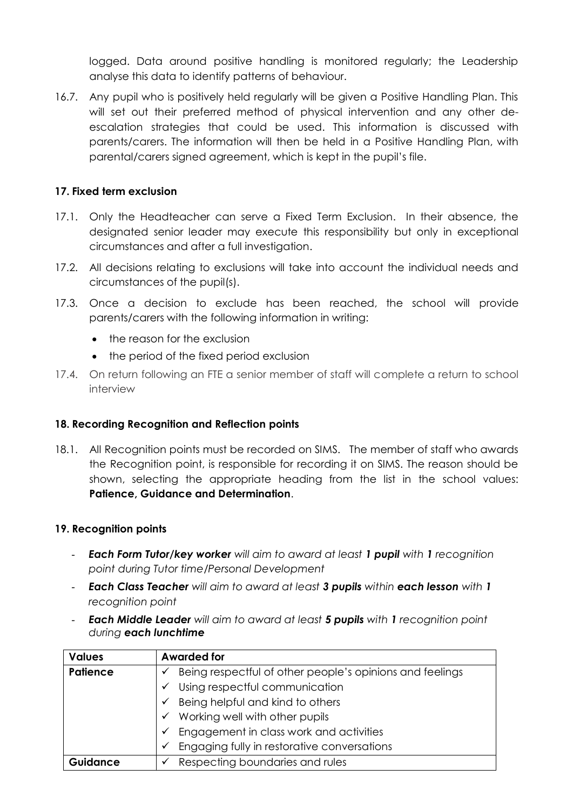logged. Data around positive handling is monitored regularly; the Leadership analyse this data to identify patterns of behaviour.

16.7. Any pupil who is positively held regularly will be given a Positive Handling Plan. This will set out their preferred method of physical intervention and any other deescalation strategies that could be used. This information is discussed with parents/carers. The information will then be held in a Positive Handling Plan, with parental/carers signed agreement, which is kept in the pupil's file.

#### <span id="page-8-0"></span>**17. Fixed term exclusion**

- 17.1. Only the Headteacher can serve a Fixed Term Exclusion. In their absence, the designated senior leader may execute this responsibility but only in exceptional circumstances and after a full investigation.
- 17.2. All decisions relating to exclusions will take into account the individual needs and circumstances of the pupil(s).
- 17.3. Once a decision to exclude has been reached, the school will provide parents/carers with the following information in writing:
	- the reason for the exclusion
	- the period of the fixed period exclusion
- 17.4. On return following an FTE a senior member of staff will complete a return to school interview

#### <span id="page-8-1"></span>**18. Recording Recognition and Reflection points**

18.1. All Recognition points must be recorded on SIMS. The member of staff who awards the Recognition point, is responsible for recording it on SIMS. The reason should be shown, selecting the appropriate heading from the list in the school values: **Patience, Guidance and Determination**.

#### <span id="page-8-2"></span>**19. Recognition points**

- *Each Form Tutor/key worker will aim to award at least 1 pupil with 1 recognition point during Tutor time/Personal Development*
- *Each Class Teacher will aim to award at least 3 pupils within each lesson with 1 recognition point*
- *Each Middle Leader will aim to award at least 5 pupils with 1 recognition point during each lunchtime*

| <b>Values</b>   | <b>Awarded for</b>                                            |  |
|-----------------|---------------------------------------------------------------|--|
| <b>Patience</b> | Being respectful of other people's opinions and feelings<br>✓ |  |
|                 | Using respectful communication<br>$\checkmark$                |  |
|                 | Being helpful and kind to others<br>✓                         |  |
|                 | Working well with other pupils<br>✓                           |  |
|                 | Engagement in class work and activities<br>$\checkmark$       |  |
|                 | Engaging fully in restorative conversations<br>✓              |  |
| Guidance        | Respecting boundaries and rules<br>$\checkmark$               |  |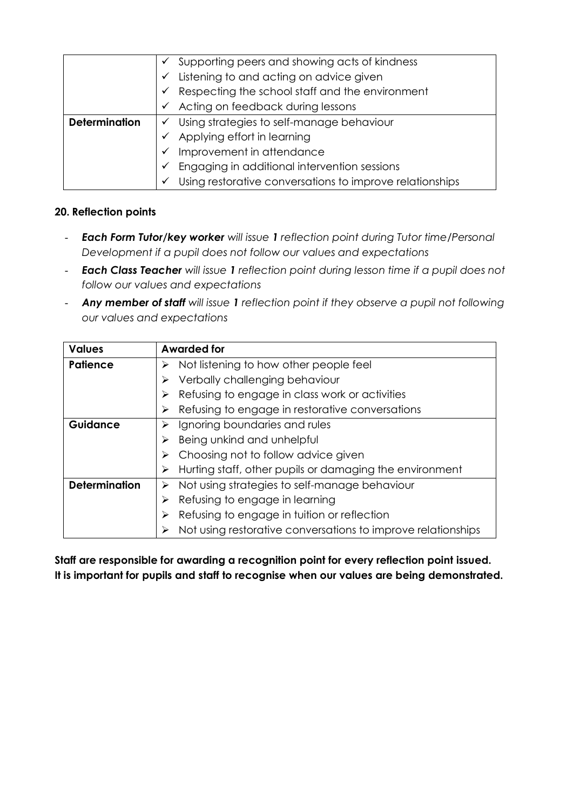|                      | Supporting peers and showing acts of kindness<br>✓                                        |                                                          |
|----------------------|-------------------------------------------------------------------------------------------|----------------------------------------------------------|
|                      |                                                                                           | Listening to and acting on advice given                  |
|                      | Respecting the school staff and the environment<br>Acting on feedback during lessons<br>✓ |                                                          |
|                      |                                                                                           |                                                          |
| <b>Determination</b> | Using strategies to self-manage behaviour<br>✓                                            |                                                          |
|                      |                                                                                           | Applying effort in learning                              |
|                      | Improvement in attendance<br>$\checkmark$                                                 |                                                          |
|                      |                                                                                           | Engaging in additional intervention sessions             |
|                      | ✓                                                                                         | Using restorative conversations to improve relationships |

# <span id="page-9-0"></span>**20. Reflection points**

- *Each Form Tutor/key worker will issue 1 reflection point during Tutor time/Personal Development if a pupil does not follow our values and expectations*
- *Each Class Teacher will issue 1 reflection point during lesson time if a pupil does not follow our values and expectations*
- *Any member of staff will issue 1 reflection point if they observe a pupil not following our values and expectations*

| <b>Values</b>        | <b>Awarded for</b>                                           |  |
|----------------------|--------------------------------------------------------------|--|
| <b>Patience</b>      | Not listening to how other people feel<br>➤                  |  |
|                      | Verbally challenging behaviour                               |  |
|                      | Refusing to engage in class work or activities               |  |
|                      | Refusing to engage in restorative conversations              |  |
| <b>Guidance</b>      | Ignoring boundaries and rules<br>Being unkind and unhelpful  |  |
|                      |                                                              |  |
|                      | Choosing not to follow advice given                          |  |
|                      | Hurting staff, other pupils or damaging the environment      |  |
| <b>Determination</b> | Not using strategies to self-manage behaviour<br>➤           |  |
|                      | Refusing to engage in learning                               |  |
|                      | Refusing to engage in tuition or reflection<br>⋗             |  |
|                      | Not using restorative conversations to improve relationships |  |

**Staff are responsible for awarding a recognition point for every reflection point issued. It is important for pupils and staff to recognise when our values are being demonstrated.**